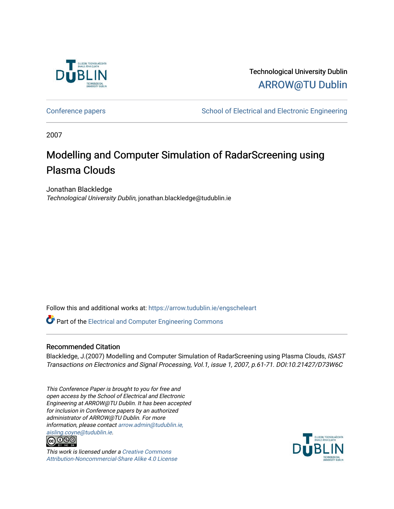

Technological University Dublin [ARROW@TU Dublin](https://arrow.tudublin.ie/) 

[Conference papers](https://arrow.tudublin.ie/engscheleart) **School of Electrical and Electronic Engineering** 

2007

## Modelling and Computer Simulation of RadarScreening using Plasma Clouds

Jonathan Blackledge Technological University Dublin, jonathan.blackledge@tudublin.ie

Follow this and additional works at: [https://arrow.tudublin.ie/engscheleart](https://arrow.tudublin.ie/engscheleart?utm_source=arrow.tudublin.ie%2Fengscheleart%2F198&utm_medium=PDF&utm_campaign=PDFCoverPages) 

Part of the [Electrical and Computer Engineering Commons](http://network.bepress.com/hgg/discipline/266?utm_source=arrow.tudublin.ie%2Fengscheleart%2F198&utm_medium=PDF&utm_campaign=PDFCoverPages) 

## Recommended Citation

Blackledge, J.(2007) Modelling and Computer Simulation of RadarScreening using Plasma Clouds, ISAST Transactions on Electronics and Signal Processing, Vol.1, issue 1, 2007, p.61-71. DOI:10.21427/D73W6C

This Conference Paper is brought to you for free and open access by the School of Electrical and Electronic Engineering at ARROW@TU Dublin. It has been accepted for inclusion in Conference papers by an authorized administrator of ARROW@TU Dublin. For more information, please contact [arrow.admin@tudublin.ie,](mailto:arrow.admin@tudublin.ie,%20aisling.coyne@tudublin.ie)  [aisling.coyne@tudublin.ie](mailto:arrow.admin@tudublin.ie,%20aisling.coyne@tudublin.ie).<br>@060



This work is licensed under a [Creative Commons](http://creativecommons.org/licenses/by-nc-sa/4.0/) [Attribution-Noncommercial-Share Alike 4.0 License](http://creativecommons.org/licenses/by-nc-sa/4.0/)

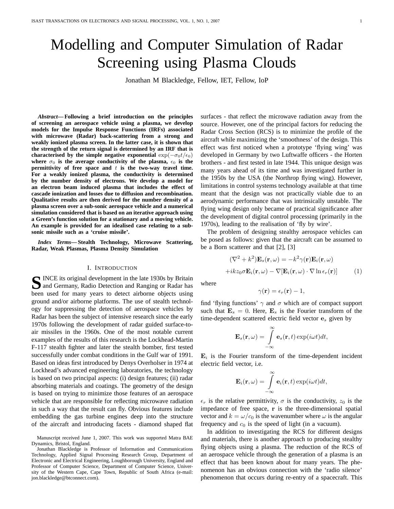# Modelling and Computer Simulation of Radar Screening using Plasma Clouds

Jonathan M Blackledge, Fellow, IET, Fellow, IoP

*Abstract***— Following a brief introduction on the principles of screening an aerospace vehicle using a plasma, we develop models for the Impulse Response Functions (IRFs) associated with microwave (Radar) back-scattering from a strong and weakly ionized plasma screen. In the latter case, it is shown that the strength of the return signal is determined by an IRF that is characterised by the simple negative exponential**  $exp(-\sigma_0 t/\epsilon_0)$ where  $\sigma_0$  is the average conductivity of the plasma,  $\epsilon_0$  is the **permittivity of free space and** t **is the two-way travel time. For a weakly ionized plasma, the conductivity is determined by the number density of electrons. We develop a model for an electron beam induced plasma that includes the effect of cascade ionization and losses due to diffusion and recombination. Qualitative results are then derived for the number density of a plasma screen over a sub-sonic aerospace vehicle and a numerical simulation considered that is based on an iterative approach using a Green's function solution for a stationary and a moving vehicle. An example is provided for an idealised case relating to a subsonic missile such as a 'cruise missile'.**

*Index Terms***— Stealth Technology, Microwave Scattering, Radar, Weak Plasmas, Plasma Density Simulation**

#### I. INTRODUCTION

S INCE its original development in the late 1930s by Britain<br>
and Germany, Radio Detection and Ranging or Radar has and Germany, Radio Detection and Ranging or Radar has been used for many years to detect airborne objects using ground and/or airborne platforms. The use of stealth technology for suppressing the detection of aerospace vehicles by Radar has been the subject of intensive research since the early 1970s following the development of radar guided surface-toair missiles in the 1960s. One of the most notable current examples of the results of this research is the Lockhead-Martin F-117 stealth fighter and later the stealth bomber, first tested successfully under combat conditions in the Gulf war of 1991. Based on ideas first introduced by Denys Overholser in 1974 at Lockhead's advanced engineering laboratories, the technology is based on two principal aspects: (i) design features; (ii) radar absorbing materials and coatings. The geometry of the design is based on trying to minimize those features of an aerospace vehicle that are responsible for reflecting microwave radiation in such a way that the result can fly. Obvious features include embedding the gas turbine engines deep into the structure of the aircraft and introducing facets - diamond shaped flat

Manuscript received June 1, 2007. This work was supported Matra BAE Dynamics, Bristol, England.

Jonathan Blackledge is Professor of Information and Communications Technology, Applied Signal Processing Research Group, Department of Electronic and Electrical Engineering, Loughborough University, England and Professor of Computer Science, Department of Computer Science, University of the Western Cape, Cape Town, Republic of South Africa (e-mail: jon.blackledge@btconnect.com).

surfaces - that reflect the microwave radiation away from the source. However, one of the principal factors for reducing the Radar Cross Section (RCS) is to minimize the profile of the aircraft while maximizing the 'smoothness' of the design. This effect was first noticed when a prototype 'flying wing' was developed in Germany by two Luftwaffe officers - the Horten brothers - and first tested in late 1944. This unique design was many years ahead of its time and was investigated further in the 1950s by the USA (the Northrop flying wing). However, limitations in control systems technology available at that time meant that the design was not practically viable due to an aerodynamic performance that was intrinsically unstable. The flying wing design only became of practical significance after the development of digital control processing (primarily in the 1970s), leading to the realisation of 'fly by wire'.

The problem of designing stealthy aerospace vehicles can be posed as follows: given that the aircraft can be assumed to be a Born scatterer and that [2], [3]

$$
(\nabla^2 + k^2)\mathbf{E}_s(\mathbf{r}, \omega) = -k^2 \gamma(\mathbf{r})\mathbf{E}_i(\mathbf{r}, \omega)
$$

$$
+ikz_0 \sigma \mathbf{E}_i(\mathbf{r}, \omega) - \nabla[\mathbf{E}_i(\mathbf{r}, \omega) \cdot \nabla \ln \epsilon_r(\mathbf{r})]
$$
(1)

where

$$
\gamma(\mathbf{r})=\epsilon_r(\mathbf{r})-1,
$$

find 'flying functions'  $\gamma$  and  $\sigma$  which are of compact support such that  $\mathbf{E}_s = 0$ . Here,  $\mathbf{E}_s$  is the Fourier transform of the time-dependent scattered electric field vector  $e_s$  given by

$$
\mathbf{E}_s(\mathbf{r},\omega) = \int_{-\infty}^{\infty} \mathbf{e}_s(\mathbf{r},t) \exp(i\omega t) dt,
$$

 $\mathbf{E}_i$  is the Fourier transform of the time-dependent incident electric field vector, i.e.

$$
\mathbf{E}_i(\mathbf{r},\omega) = \int_{-\infty}^{\infty} \mathbf{e}_i(\mathbf{r},t) \exp(i\omega t) dt,
$$

 $\epsilon_r$  is the relative permittivity,  $\sigma$  is the conductivity,  $z_0$  is the impedance of free space, r is the three-dimensional spatial vector and  $k = \omega/c_0$  is the wavenumber where  $\omega$  is the angular frequency and  $c_0$  is the speed of light (in a vacuum).

In addition to investigating the RCS for different designs and materials, there is another approach to producing stealthy flying objects using a plasma. The reduction of the RCS of an aerospace vehicle through the generation of a plasma is an effect that has been known about for many years. The phenomenon has an obvious connection with the 'radio silence' phenomenon that occurs during re-entry of a spacecraft. This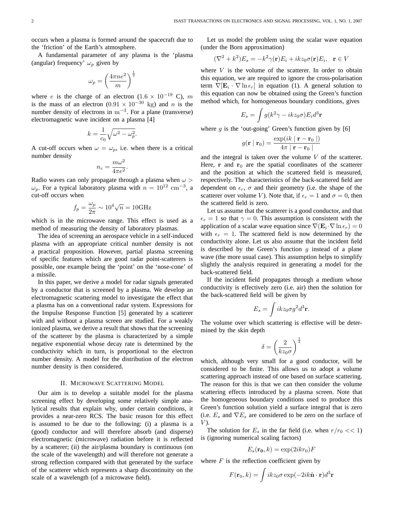occurs when a plasma is formed around the spacecraft due to the 'friction' of the Earth's atmosphere.

A fundamental parameter of any plasma is the 'plasma (angular) frequency'  $\omega_p$  given by

$$
\omega_p = \left(\frac{4\pi n e^2}{m}\right)^{\frac{1}{2}}
$$

where *e* is the charge of an electron (1.6 × 10<sup>-19</sup> C), m is the mass of an electron  $(0.91 \times 10^{-30} \text{ kg})$  and n is the number density of electrons in  $m^{-3}$ . For a plane (transverse) electromagnetic wave incident on a plasma [4]

$$
k = \frac{1}{c_0} \sqrt{\omega^2 - \omega_p^2}.
$$

A cut-off occurs when  $\omega = \omega_p$ , i.e. when there is a critical number density

$$
n_c = \frac{m\omega^2}{4\pi e^2}.
$$

Radio waves can only propagate through a plasma when  $\omega$  >  $\omega_p$ . For a typical laboratory plasma with  $n = 10^{12}$  cm<sup>-3</sup>, a cut-off occurs when

$$
f_p = \frac{\omega_p}{2\pi} \sim 10^4 \sqrt{n} = 10 \text{GHz}
$$

which is in the microwave range. This effect is used as a method of measuring the density of laboratory plasmas.

The idea of screening an aerospace vehicle in a self-induced plasma with an appropriate critical number density is not a practical proposition. However, partial plasma screening of specific features which are good radar point-scatterers is possible, one example being the 'point' on the 'nose-cone' of a missile.

In this paper, we derive a model for radar signals generated by a conductor that is screened by a plasma. We develop an electromagnetic scattering model to investigate the effect that a plasma has on a conventional radar system. Expressions for the Impulse Response Function [5] generated by a scatterer with and without a plasma screen are studied. For a weakly ionized plasma, we derive a result that shows that the screening of the scatterer by the plasma is characterized by a simple negative exponential whose decay rate is determined by the conductivity which in turn, is proportional to the electron number density. A model for the distribution of the electron number density is then considered.

#### II. MICROWAVE SCATTERING MODEL

Our aim is to develop a suitable model for the plasma screening effect by developing some relatively simple analytical results that explain why, under certain conditions, it provides a near-zero RCS. The basic reason for this effect is assumed to be due to the following: (i) a plasma is a (good) conductor and will therefore absorb (and disperse) electromagnetic (microwave) radiation before it is reflected by a scatterer; (ii) the air/plasma boundary is continuous (on the scale of the wavelength) and will therefore not generate a strong reflection compared with that generated by the surface of the scatterer which represents a sharp discontinuity on the scale of a wavelength (of a microwave field).

Let us model the problem using the scalar wave equation (under the Born approximation)

$$
(\nabla^2 + k^2)E_s = -k^2 \gamma(\mathbf{r})E_i + ikz_0 \sigma(\mathbf{r})E_i, \quad \mathbf{r} \in V
$$

where  $V$  is the volume of the scatterer. In order to obtain this equation, we are required to ignore the cross-polarisation term  $\nabla[\mathbf{E}_i \cdot \nabla \ln \epsilon_r]$  in equation (1). A general solution to this equation can now be obtained using the Green's function method which, for homogeneous boundary conditions, gives

$$
E_s = \int g(k^2 \gamma - ikz_0 \sigma) E_i d^3 \mathbf{r}
$$

where  $g$  is the 'out-going' Green's function given by [6]

$$
g(\mathbf{r} \mid \mathbf{r}_0) = \frac{\exp(ik \mid \mathbf{r} - \mathbf{r}_0 \mid)}{4\pi \mid \mathbf{r} - \mathbf{r}_0 \mid}
$$

and the integral is taken over the volume  $V$  of the scatterer. Here,  $\bf{r}$  and  $\bf{r}_0$  are the spatial coordinates of the scatterer and the position at which the scattered field is measured, respectively. The characteristics of the back-scattered field are dependent on  $\epsilon_r$ ,  $\sigma$  and their geometry (i.e. the shape of the scatterer over volume V). Note that, if  $\epsilon_r = 1$  and  $\sigma = 0$ , then the scattered field is zero.

Let us assume that the scatterer is a good conductor, and that  $\epsilon_r = 1$  so that  $\gamma = 0$ . This assumption is consistent with the application of a scalar wave equation since  $\nabla(\mathbf{E}_i \cdot \nabla \ln \epsilon_r) = 0$ with  $\epsilon_r = 1$ . The scattered field is now determined by the conductivity alone. Let us also assume that the incident field is described by the Green's function q instead of a plane wave (the more usual case). This assumption helps to simplify slightly the analysis required in generating a model for the back-scattered field.

If the incident field propagates through a medium whose conductivity is effectively zero (i.e. air) then the solution for the back-scattered field will be given by

$$
E_s = \int ikz_0 \sigma g^2 d^3 \mathbf{r}.
$$

The volume over which scattering is effective will be determined by the skin depth

$$
\delta = \left(\frac{2}{kz_0\sigma}\right)^{\frac{1}{2}}
$$

which, although very small for a good conductor, will be considered to be finite. This allows us to adopt a volume scattering approach instead of one based on surface scattering. The reason for this is that we can then consider the volume scattering effects introduced by a plasma screen. Note that the homogeneous boundary conditions used to produce this Green's function solution yield a surface integral that is zero (i.e.  $E_s$  and  $\nabla E_s$  are considered to be zero on the surface of  $V$ ).

The solution for  $E_s$  in the far field (i.e. when  $r/r_0 \ll 1$ ) is (ignoring numerical scaling factors)

$$
E_s(\mathbf{r_0},k) = \exp(2ikr_0)F
$$

where  $F$  is the reflection coefficient given by

$$
F(\mathbf{r}_0, k) = \int ikz_0 \sigma \exp(-2ik\hat{\mathbf{n}} \cdot \mathbf{r})d^3\mathbf{r}
$$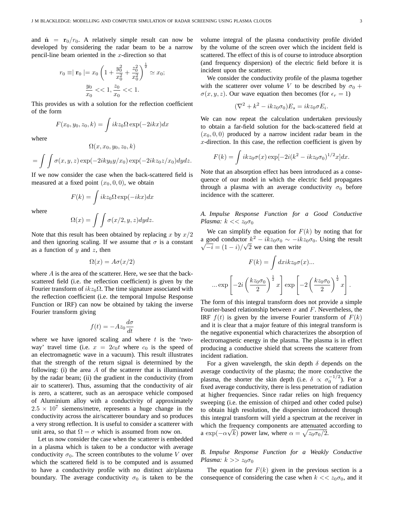and  $\hat{\mathbf{n}} = \mathbf{r}_0/r_0$ . A relatively simple result can now be developed by considering the radar beam to be a narrow pencil-line beam oriented in the  $x$ -direction so that

$$
r_0 \equiv |\mathbf{r}_0| = x_0 \left( 1 + \frac{y_0^2}{x_0^2} + \frac{z_0^2}{x_0^2} \right)^{\frac{1}{2}} \simeq x_0;
$$
  

$$
\frac{y_0}{x_0} << 1, \frac{z_0}{x_0} << 1.
$$

This provides us with a solution for the reflection coefficient of the form

$$
F(x_0, y_0, z_0, k) = \int ikz_0 \Omega \exp(-2ikx) dx
$$

where

$$
= \int \int \sigma(x, y, z) \exp(-2iky_0y/x_0) \exp(-2ikz_0z/x_0) dydz.
$$

 $\Omega(x, x_0, y_0, z_0, k)$ 

If we now consider the case when the back-scattered field is measured at a fixed point  $(x_0, 0, 0)$ , we obtain

$$
F(k) = \int ikz_0 \Omega \exp(-ikx) dx
$$

where

$$
\Omega(x) = \int \int \sigma(x/2, y, z) dy dz.
$$

Note that this result has been obtained by replacing x by  $x/2$ and then ignoring scaling. If we assume that  $\sigma$  is a constant as a function of  $y$  and  $z$ , then

$$
\Omega(x) = A\sigma(x/2)
$$

where A is the area of the scatterer. Here, we see that the backscattered field (i.e. the reflection coefficient) is given by the Fourier transform of  $ikz_0\Omega$ . The time signature associated with the reflection coefficient (i.e. the temporal Impulse Response Function or IRF) can now be obtained by taking the inverse Fourier transform giving

$$
f(t) = -Az_0 \frac{d\sigma}{dt}
$$

where we have ignored scaling and where  $t$  is the 'twoway' travel time (i.e.  $x = 2c_0t$  where  $c_0$  is the speed of an electromagnetic wave in a vacuum). This result illustrates that the strength of the return signal is determined by the following: (i) the area  $A$  of the scatterer that is illuminated by the radar beam; (ii) the gradient in the conductivity (from air to scatterer). Thus, assuming that the conductivity of air is zero, a scatterer, such as an aerospace vehicle composed of Aluminium alloy with a conductivity of approximately  $2.5 \times 10^7$  siemens/metre, represents a huge change in the conductivity across the air/scatterer boundary and so produces a very strong reflection. It is useful to consider a scatterer with unit area, so that  $\Omega = \sigma$  which is assumed from now on.

Let us now consider the case when the scatterer is embedded in a plasma which is taken to be a conductor with average conductivity  $\sigma_0$ . The screen contributes to the volume V over which the scattered field is to be computed and is assumed to have a conductivity profile with no distinct air/plasma boundary. The average conductivity  $\sigma_0$  is taken to be the volume integral of the plasma conductivity profile divided by the volume of the screen over which the incident field is scattered. The effect of this is of course to introduce absorption (and frequency dispersion) of the electric field before it is incident upon the scatterer.

We consider the conductivity profile of the plasma together with the scatterer over volume V to be described by  $\sigma_0$  +  $\sigma(x, y, z)$ . Our wave equation then becomes (for  $\epsilon_r = 1$ )

$$
(\nabla^2 + k^2 - ikz_0 \sigma_0) E_s = ikz_0 \sigma E_i.
$$

We can now repeat the calculation undertaken previously to obtain a far-field solution for the back-scattered field at  $(x_0, 0, 0)$  produced by a narrow incident radar beam in the x-direction. In this case, the reflection coefficient is given by

$$
F(k) = \int ikz_0 \sigma(x) \exp[-2i(k^2 - ikz_0 \sigma_0)^{1/2}x] dx.
$$

Note that an absorption effect has been introduced as a consequence of our model in which the electric field propagates through a plasma with an average conductivity  $\sigma_0$  before incidence with the scatterer.

### *A. Impulse Response Function for a Good Conductive Plasma:*  $k \ll z_0 \sigma_0$

We can simplify the equation for  $F(k)$  by noting that for a good conductor  $k^2 - ikz_0\sigma_0 \sim -ikz_0\sigma_0$ . Using the result  $\overline{-i} = (1 - i)/\sqrt{2}$  we can then write

$$
F(k) = \int dxikz_0\sigma(x)...
$$

$$
\dots \exp\left[-2i\left(\frac{kz_0\sigma_0}{2}\right)^{\frac{1}{2}}x\right] \exp\left[-2\left(\frac{kz_0\sigma_0}{2}\right)^{\frac{1}{2}}x\right].
$$

The form of this integral transform does not provide a simple Fourier-based relationship between  $\sigma$  and F. Nevertheless, the IRF  $f(t)$  is given by the inverse Fourier transform of  $F(k)$ and it is clear that a major feature of this integral transform is the negative exponential which characterizes the absorption of electromagnetic energy in the plasma. The plasma is in effect producing a conductive shield that screens the scatterer from incident radiation.

For a given wavelength, the skin depth  $\delta$  depends on the average conductivity of the plasma; the more conductive the plasma, the shorter the skin depth (i.e.  $\delta \propto \sigma_0^{-1/2}$ ). For a fixed average conductivity, there is less penetration of radiation at higher frequencies. Since radar relies on high frequency sweeping (i.e. the emission of chirped and other coded pulse) to obtain high resolution, the dispersion introduced through this integral transform will yield a spectrum at the receiver in which the frequency components are attenuated according to a exp( $-\alpha\sqrt{k}$ ) power law, where  $\alpha = \sqrt{z_0 \sigma_0/2}$ .

## *B. Impulse Response Function for a Weakly Conductive Plasma:*  $k >> z_0 \sigma_0$

The equation for  $F(k)$  given in the previous section is a consequence of considering the case when  $k \ll z_0 \sigma_0$ , and it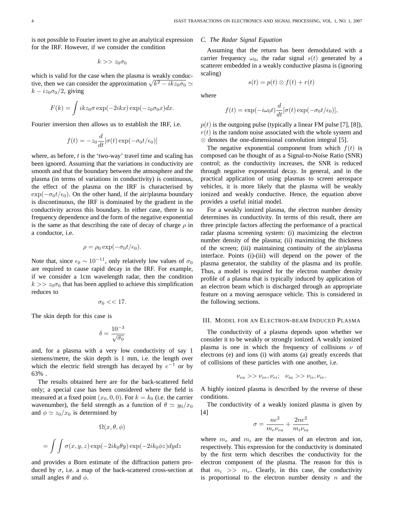is not possible to Fourier invert to give an analytical expression for the IRF. However, if we consider the condition

$$
k >> z_0 \sigma_0
$$

which is valid for the case when the plasma is weakly conducwhich is valid for the case when the plasma is weakly conductive, then we can consider the approximation  $\sqrt{k^2 - ikz_0\sigma_0} \simeq$  $k - i z_0 \sigma_0/2$ , giving

$$
F(k) = \int ikz_0 \sigma \exp(-2ikx) \exp(-z_0 \sigma_0 x) dx.
$$

Fourier inversion then allows us to establish the IRF, i.e.

$$
f(t) = -z_0 \frac{d}{dt} [\sigma(t) \exp(-\sigma_0 t/\epsilon_0)]
$$

where, as before,  $t$  is the 'two-way' travel time and scaling has been ignored. Assuming that the variations in conductivity are smooth and that the boundary between the atmosphere and the plasma (in terms of variations in conductivity) is continuous, the effect of the plasma on the IRF is characterised by  $\exp(-\sigma_0 t/\epsilon_0)$ . On the other hand, if the air/plasma boundary is discontinuous, the IRF is dominated by the gradient in the conductivity across this boundary. In either case, there is no frequency dependence and the form of the negative exponential is the same as that describing the rate of decay of charge  $\rho$  in a conductor, i.e.

$$
\rho = \rho_0 \exp(-\sigma_0 t/\epsilon_0).
$$

Note that, since  $\epsilon_0 \sim 10^{-11}$ , only relatively low values of  $\sigma_0$ are required to cause rapid decay in the IRF. For example, if we consider a 1cm wavelength radar, then the condition  $k >> z_0 \sigma_0$  that has been applied to achieve this simplification reduces to

$$
\sigma_0 << 17.
$$

The skin depth for this case is

$$
\delta = \frac{10^{-3}}{\sqrt{\sigma_0}}
$$

and, for a plasma with a very low conductivity of say 1 siemens/metre, the skin depth is 1 mm, i.e. the length over which the electric field strength has decayed by  $e^{-1}$  or by 63% .

The results obtained here are for the back-scattered field only; a special case has been considered where the field is measured at a fixed point  $(x_0, 0, 0)$ . For  $k = k_0$  (i.e. the carrier wavenumber), the field strength as a function of  $\theta \simeq y_0/x_0$ and  $\phi \simeq z_0/x_0$  is determined by

$$
\Omega(x, \theta, \phi)
$$
  
= 
$$
\int \int \sigma(x, y, z) \exp(-2ik_0\theta y) \exp(-2ik_0\phi z) dy dz
$$

and provides a Born estimate of the diffraction pattern produced by  $\sigma$ , i.e. a map of the back-scattered cross-section at small angles  $\theta$  and  $\phi$ .

#### *C. The Radar Signal Equation*

Assuming that the return has been demodulated with a carrier frequency  $\omega_0$ , the radar signal  $s(t)$  generated by a scatterer embedded in a weakly conductive plasma is (ignoring scaling)

$$
s(t) = p(t) \otimes f(t) + r(t)
$$

where

$$
f(t) = \exp(-i\omega_0 t) \frac{d}{dt} [\sigma(t) \exp(-\sigma_0 t/\epsilon_0)],
$$

 $p(t)$  is the outgoing pulse (typically a linear FM pulse [7], [8]),  $r(t)$  is the random noise associated with the whole system and ⊗ denotes the one-dimensional convolution integral [5].

The negative exponential component from which  $f(t)$  is composed can be thought of as a Signal-to-Noise Ratio (SNR) control; as the conductivity increases, the SNR is reduced through negative exponential decay. In general, and in the practical application of using plasmas to screen aerospace vehicles, it is more likely that the plasma will be weakly ionized and weakly conductive. Hence, the equation above provides a useful initial model.

For a weakly ionized plasma, the electron number density determines its conductivity. In terms of this result, there are three principle factors affecting the performance of a practical radar plasma screening system: (i) maximizing the electron number density of the plasma; (ii) maximizing the thickness of the screen; (iii) maintaining continuity of the air/plasma interface. Points (i)-(iii) will depend on the power of the plasma generator, the stability of the plasma and its profile. Thus, a model is required for the electron number density profile of a plasma that is typically induced by application of an electron beam which is discharged through an appropriate feature on a moving aerospace vehicle. This is considered in the following sections.

#### III. MODEL FOR AN ELECTRON-BEAM INDUCED PLASMA

The conductivity of a plasma depends upon whether we consider it to be weakly or strongly ionized. A weakly ionized plasma is one in which the frequency of collisions  $\nu$  of electrons (e) and ions (i) with atoms (a) greatly exceeds that of collisions of these particles with one another, i.e.

$$
\nu_{ea} >> \nu_{ee}, \nu_{ei}; \quad \nu_{ia} >> \nu_{ii}, \nu_{ie}.
$$

A highly ionized plasma is described by the reverse of these conditions.

The conductivity of a weakly ionized plasma is given by [4]

$$
\sigma = \frac{ne^2}{m_e \nu_{ea}} + \frac{2ne^2}{m_i \nu_{ia}}
$$

where  $m_e$  and  $m_i$  are the masses of an electron and ion, respectively. This expression for the conductivity is dominated by the first term which describes the conductivity for the electron component of the plasma. The reason for this is that  $m_i \gg m_e$ . Clearly, in this case, the conductivity is proportional to the electron number density  $n$  and the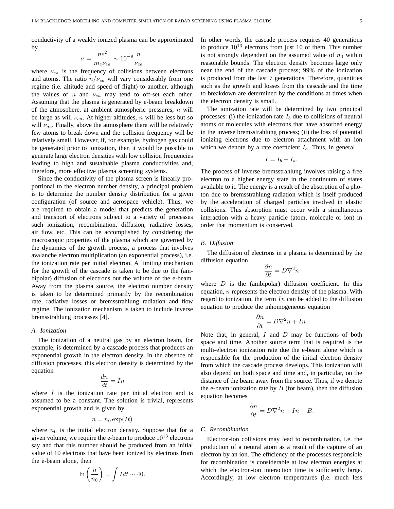conductivity of a weakly ionized plasma can be approximated by

$$
\sigma = \frac{ne^2}{m_e \nu_{ea}} \sim 10^{-9} \frac{n}{\nu_{ea}}
$$

where  $\nu_{ea}$  is the frequency of collisions between electrons and atoms. The ratio  $n/\nu_{ea}$  will vary considerably from one regime (i.e. altitude and speed of flight) to another, although the values of  $n$  and  $\nu_{ea}$  may tend to off-set each other. Assuming that the plasma is generated by e-beam breakdown of the atmosphere, at ambient atmospheric pressures,  $n$  will be large as will  $\nu_{ea}$ . At higher altitudes, n will be less but so will  $\nu_{ae}$ . Finally, above the atmosphere there will be relatively few atoms to break down and the collision frequency will be relatively small. However, if, for example, hydrogen gas could be generated prior to ionization, then it would be possible to generate large electron densities with low collision frequencies leading to high and sustainable plasma conductivities and, therefore, more effective plasma screening systems.

Since the conductivity of the plasma screen is linearly proportional to the electron number density, a principal problem is to determine the number density distribution for a given configuration (of source and aerospace vehicle). Thus, we are required to obtain a model that predicts the generation and transport of electrons subject to a variety of processes such ionization, recombination, diffusion, radiative losses, air flow, etc. This can be accomplished by considering the macroscopic properties of the plasma which are governed by the dynamics of the growth process, a process that involves avalanche electron multiplication (an exponential process), i.e. the ionization rate per initial electron. A limiting mechanism for the growth of the cascade is taken to be due to the (ambipolar) diffusion of electrons out the volume of the e-beam. Away from the plasma source, the electron number density is taken to be determined primarily by the recombination rate, radiative losses or bremsstrahlung radiation and flow regime. The ionization mechanism is taken to include inverse bremsstrahlung processes [4].

#### *A. Ionization*

The ionization of a neutral gas by an electron beam, for example, is determined by a cascade process that produces an exponential growth in the electron density. In the absence of diffusion processes, this electron density is determined by the equation

$$
\frac{dn}{dt} = In
$$

where  $I$  is the ionization rate per initial electron and is assumed to be a constant. The solution is trivial, represents exponential growth and is given by

$$
n = n_0 \exp(It)
$$

where  $n_0$  is the initial electron density. Suppose that for a given volume, we require the e-beam to produce  $10^{13}$  electrons say and that this number should be produced from an initial value of 10 electrons that have been ionized by electrons from the e-beam alone, then

$$
\ln\left(\frac{n}{n_0}\right) = \int I dt \sim 40.
$$

In other words, the cascade process requires 40 generations to produce  $10^{13}$  electrons from just 10 of them. This number is not strongly dependent on the assumed value of  $n_0$  within reasonable bounds. The electron density becomes large only near the end of the cascade process; 99% of the ionization is produced from the last 7 generations. Therefore, quantities such as the growth and losses from the cascade and the time to breakdown are determined by the conditions at times when the electron density is small.

The ionization rate will be determined by two principal processes: (i) the ionization rate  $I<sub>b</sub>$  due to collisions of neutral atoms or molecules with electrons that have absorbed energy in the inverse bremsstrahlung process; (ii) the loss of potential ionizing electrons due to electron attachment with an ion which we denote by a rate coefficient  $I_a$ . Thus, in general

$$
I=I_b-I_a.
$$

The process of inverse bremsstrahlung involves raising a free electron to a higher energy state in the continuum of states available to it. The energy is a result of the absorption of a photon due to bremsstrahlung radiation which is itself produced by the acceleration of charged particles involved in elastic collisions. This absorption must occur with a simultaneous interaction with a heavy particle (atom, molecule or ion) in order that momentum is conserved.

#### *B. Diffusion*

The diffusion of electrons in a plasma is determined by the diffusion equation

$$
\frac{\partial n}{\partial t} = D\nabla^2 n
$$

where  $D$  is the (ambipolar) diffusion coefficient. In this equation, n represents the electron density of the plasma. With regard to ionization, the term  $In$  can be added to the diffusion equation to produce the inhomogeneous equation

$$
\frac{\partial n}{\partial t} = D\nabla^2 n + In.
$$

Note that, in general,  $I$  and  $D$  may be functions of both space and time. Another source term that is required is the multi-electron ionization rate due the e-beam alone which is responsible for the production of the initial electron density from which the cascade process develops. This ionization will also depend on both space and time and, in particular, on the distance of the beam away from the source. Thus, if we denote the e-beam ionization rate by  $B$  (for beam), then the diffusion equation becomes

$$
\frac{\partial n}{\partial t} = D\nabla^2 n + In + B.
$$

#### *C. Recombination*

Electron-ion collisions may lead to recombination, i.e. the production of a neutral atom as a result of the capture of an electron by an ion. The efficiency of the processes responsible for recombination is considerable at low electron energies at which the electron-ion interaction time is sufficiently large. Accordingly, at low electron temperatures (i.e. much less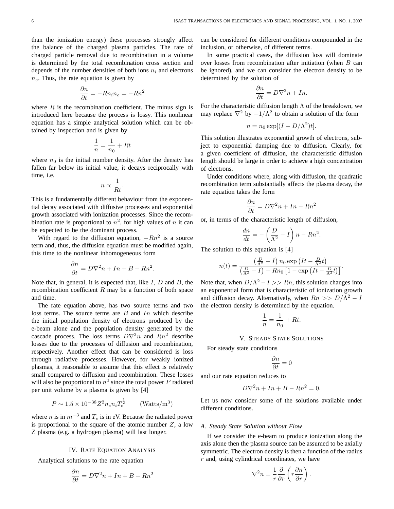than the ionization energy) these processes strongly affect the balance of the charged plasma particles. The rate of charged particle removal due to recombination in a volume is determined by the total recombination cross section and depends of the number densities of both ions  $n_i$  and electrons  $n_e$ . Thus, the rate equation is given by

$$
\frac{\partial n}{\partial t} = -Rn_i n_e = -Rn^2
$$

where  $R$  is the recombination coefficient. The minus sign is introduced here because the process is lossy. This nonlinear equation has a simple analytical solution which can be obtained by inspection and is given by

$$
\frac{1}{n} = \frac{1}{n_0} + Rt
$$

where  $n_0$  is the initial number density. After the density has fallen far below its initial value, it decays reciprocally with time, i.e.

$$
n \propto \frac{1}{Rt}.
$$

This is a fundamentally different behaviour from the exponential decay associated with diffusive processes and exponential growth associated with ionization processes. Since the recombination rate is proportional to  $n^2$ , for high values of n it can be expected to be the dominant process.

With regard to the diffusion equation,  $-Rn^2$  is a source term and, thus, the diffusion equation must be modified again, this time to the nonlinear inhomogeneous form

$$
\frac{\partial n}{\partial t} = D\nabla^2 n + In + B - Rn^2.
$$

Note that, in general, it is expected that, like  $I, D$  and  $B$ , the recombination coefficient  $R$  may be a function of both space and time.

The rate equation above, has two source terms and two loss terms. The source terms are  $B$  and  $In$  which describe the initial population density of electrons produced by the e-beam alone and the population density generated by the cascade process. The loss terms  $D\nabla^2 n$  and  $Rn^2$  describe losses due to the processes of diffusion and recombination, respectively. Another effect that can be considered is loss through radiative processes. However, for weakly ionized plasmas, it reasonable to assume that this effect is relatively small compared to diffusion and recombination. These losses will also be proportional to  $n^2$  since the total power P radiated per unit volume by a plasma is given by [4]

$$
P \sim 1.5 \times 10^{-38} Z^2 n_e n_i T_e^{\frac{1}{2}}
$$
 (Watts/m<sup>3</sup>)

where *n* is in  $m^{-3}$  and  $T_e$  is in eV. Because the radiated power is proportional to the square of the atomic number  $Z$ , a low Z plasma (e.g. a hydrogen plasma) will last longer.

#### IV. RATE EQUATION ANALYSIS

Analytical solutions to the rate equation

$$
\frac{\partial n}{\partial t} = D\nabla^2 n + In + B - Rn^2
$$

can be considered for different conditions compounded in the inclusion, or otherwise, of different terms.

In some practical cases, the diffusion loss will dominate over losses from recombination after initiation (when B can be ignored), and we can consider the electron density to be determined by the solution of

$$
\frac{\partial n}{\partial t} = D\nabla^2 n + In.
$$

For the characteristic diffusion length  $\Lambda$  of the breakdown, we may replace  $\nabla^2$  by  $-1/\Lambda^2$  to obtain a solution of the form

$$
n = n_0 \exp[(I - D/\Lambda^2)t].
$$

This solution illustrates exponential growth of electrons, subject to exponential damping due to diffusion. Clearly, for a given coefficient of diffusion, the characteristic diffusion length should be large in order to achieve a high concentration of electrons.

Under conditions where, along with diffusion, the quadratic recombination term substantially affects the plasma decay, the rate equation takes the form

$$
\frac{\partial n}{\partial t} = D\nabla^2 n + In - Rn^2
$$

or, in terms of the characteristic length of diffusion,

$$
\frac{dn}{dt} = -\left(\frac{D}{\Lambda^2} - I\right)n - Rn^2.
$$

The solution to this equation is [4]

$$
n(t) = \frac{\left(\frac{D}{\Lambda^2} - I\right) n_0 \exp\left(It - \frac{D}{\Lambda^2}t\right)}{\left(\frac{D}{\Lambda^2} - I\right) + Rn_0 \left[1 - \exp\left(It - \frac{D}{\Lambda^2}t\right)\right]}.
$$

Note that, when  $D/\Lambda^2 - I \gg Rn$ , this solution changes into an exponential form that is characteristic of ionization growth and diffusion decay. Alternatively, when  $Rn \gg D/\Lambda^2 - I$ the electron density is determined by the equation.

$$
\frac{1}{n} = \frac{1}{n_0} + Rt.
$$

#### V. STEADY STATE SOLUTIONS

For steady state conditions

$$
\frac{\partial n}{\partial t} = 0
$$

and our rate equation reduces to

$$
D\nabla^2 n + In + B - Rn^2 = 0.
$$

Let us now consider some of the solutions available under different conditions.

#### *A. Steady State Solution without Flow*

If we consider the e-beam to produce ionization along the axis alone then the plasma source can be assumed to be axially symmetric. The electron density is then a function of the radius  $r$  and, using cylindrical coordinates, we have

$$
\nabla^2 n = \frac{1}{r} \frac{\partial}{\partial r} \left( r \frac{\partial n}{\partial r} \right)
$$

.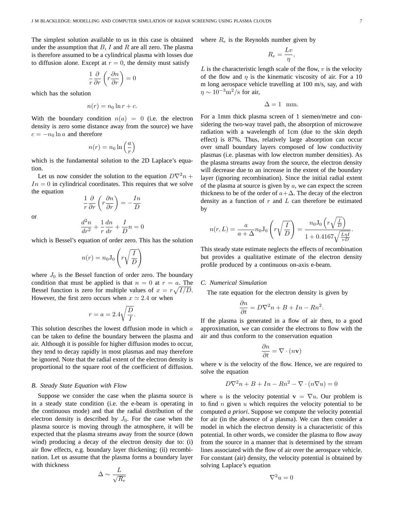The simplest solution available to us in this case is obtained under the assumption that  $B$ , I and R are all zero. The plasma is therefore assumed to be a cylindrical plasma with losses due to diffusion alone. Except at  $r = 0$ , the density must satisfy

$$
\frac{1}{r}\frac{\partial}{\partial r}\left(r\frac{\partial n}{\partial r}\right) = 0
$$

which has the solution

$$
n(r) = n_0 \ln r + c.
$$

With the boundary condition  $n(a) = 0$  (i.e. the electron density is zero some distance away from the source) we have  $c = -n_0 \ln a$  and therefore

$$
n(r) = n_0 \ln\left(\frac{a}{r}\right)
$$

which is the fundamental solution to the 2D Laplace's equation.

Let us now consider the solution to the equation  $D\nabla^2 n +$  $In = 0$  in cylindrical coordinates. This requires that we solve the equation

$$
\frac{1}{r}\frac{\partial}{\partial r}\left(r\frac{\partial n}{\partial r}\right) = -\frac{In}{D}
$$

or

$$
\frac{d^2n}{dr^2} + \frac{1}{r}\frac{dn}{dr} + \frac{I}{D}n = 0
$$

which is Bessel's equation of order zero. This has the solution

$$
n(r) = n_0 \mathcal{J}_0\left(r\sqrt{\frac{I}{D}}\right)
$$

where  $J_0$  is the Bessel function of order zero. The boundary condition that must be applied is that  $n = 0$  at  $r = a$ . The Bessel function is zero for multiple values of  $x = r\sqrt{I/D}$ . However, the first zero occurs when  $x \approx 2.4$  or when

$$
r = a = 2.4 \sqrt{\frac{D}{I}}.
$$

This solution describes the lowest diffusion mode in which  $a$ can be taken to define the boundary between the plasma and air. Although it is possible for higher diffusion modes to occur, they tend to decay rapidly in most plasmas and may therefore be ignored. Note that the radial extent of the electron density is proportional to the square root of the coefficient of diffusion.

#### *B. Steady State Equation with Flow*

Suppose we consider the case when the plasma source is in a steady state condition (i.e. the e-beam is operating in the continuous mode) and that the radial distribution of the electron density is described by  $J_0$ . For the case when the plasma source is moving through the atmosphere, it will be expected that the plasma streams away from the source (down wind) producing a decay of the electron density due to: (i) air flow effects, e.g. boundary layer thickening; (ii) recombination. Let us assume that the plasma forms a boundary layer with thickness

$$
\Delta \sim \frac{L}{\sqrt{R_e}}
$$
  $\nabla^2 u = 0$ 

where  $R_e$  is the Reynolds number given by

$$
R_e = \frac{Lv}{\eta},
$$

L is the characteristic length scale of the flow,  $v$  is the velocity of the flow and  $\eta$  is the kinematic viscosity of air. For a 10 m long aerospace vehicle travelling at 100 m/s, say, and with  $\eta \sim 10^{-3} \text{m}^2/\text{s}$  for air,

$$
\Delta = 1 \text{ mm}.
$$

For a 1mm thick plasma screen of 1 siemen/metre and considering the two-way travel path, the absorption of microwave radiation with a wavelength of 1cm (due to the skin depth effect) is 87%. Thus, relatively large absorption can occur over small boundary layers composed of low conductivity plasmas (i.e. plasmas with low electron number densities). As the plasma streams away from the source, the electron density will decrease due to an increase in the extent of the boundary layer (ignoring recombination). Since the initial radial extent of the plasma at source is given by  $a$ , we can expect the screen thickness to be of the order of  $a+\Delta$ . The decay of the electron density as a function of  $r$  and  $L$  can therefore be estimated by

$$
n(r,L) = \frac{a}{a+\Delta} n_0 \mathcal{J}_0\left(r\sqrt{\frac{I}{D}}\right) = \frac{n_0 \mathcal{J}_0\left(r\sqrt{\frac{I}{D}}\right)}{1+0.4167\sqrt{\frac{L\eta I}{vD}}}
$$

This steady state estimate neglects the effects of recombination but provides a qualitative estimate of the electron density profile produced by a continuous on-axis e-beam.

#### *C. Numerical Simulation*

The rate equation for the electron density is given by

$$
\frac{\partial n}{\partial t} = D\nabla^2 n + B + In - Rn^2.
$$

If the plasma is generated in a flow of air then, to a good approximation, we can consider the electrons to flow with the air and thus conform to the conservation equation

$$
\frac{\partial n}{\partial t} = \nabla \cdot (n\mathbf{v})
$$

where  $v$  is the velocity of the flow. Hence, we are required to solve the equation

$$
D\nabla^2 n + B + In - Rn^2 - \nabla \cdot (n\nabla u) = 0
$$

where u is the velocity potential  $\mathbf{v} = \nabla u$ . Our problem is to find  $n$  given  $u$  which requires the velocity potential to be computed *a priori*. Suppose we compute the velocity potential for air (in the absence of a plasma). We can then consider a model in which the electron density is a characteristic of this potential. In other words, we consider the plasma to flow away from the source in a manner that is determined by the stream lines associated with the flow of air over the aerospace vehicle. For constant (air) density, the velocity potential is obtained by solving Laplace's equation

.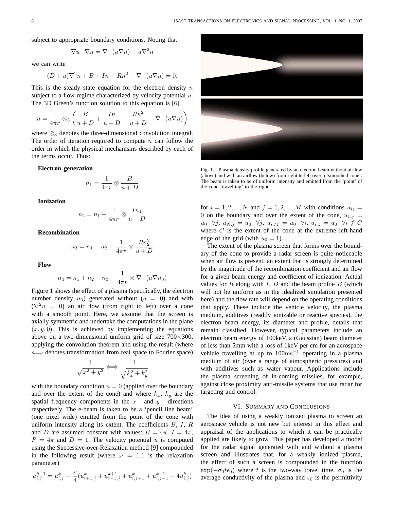subject to appropriate boundary conditions. Noting that

$$
\nabla u \cdot \nabla n = \nabla \cdot (u \nabla n) - u \nabla^2 n
$$

we can write

$$
(D+u)\nabla^2 n + B + In - Rn^2 - \nabla \cdot (u\nabla n) = 0.
$$

This is the steady state equation for the electron density  $n$ subject to a flow regime characterized by velocity potential  $u$ . The 3D Green's function solution to this equation is [6]

$$
n = \frac{1}{4\pi r} \otimes 3\left(\frac{B}{u+D} + \frac{In}{u+D} - \frac{Rn^2}{u+D} - \nabla \cdot (u\nabla n)\right)
$$

where  $\otimes_3$  denotes the three-dimensional convolution integral. The order of iteration required to compute  $n$  can follow the order in which the physical mechanisms described by each of the terms occur. Thus:

#### **Electron generation**

$$
n_1 = \frac{1}{4\pi r} \otimes \frac{B}{u+D}
$$

**Ionization**

$$
n_2 = n_1 + \frac{1}{4\pi r} \otimes \frac{In_1}{u+D}
$$

**Recombination**

$$
n_3 = n_1 + n_2 - \frac{1}{4\pi r} \otimes \frac{Rn_2^2}{u+D}
$$

**Flow**

$$
n_4 = n_1 + n_2 - n_3 - \frac{1}{4\pi r} \otimes \nabla \cdot (u \nabla n_3)
$$

Figure 1 shows the effect of a plasma (specifically, the electron number density  $n_3$ ) generated without  $(u = 0)$  and with  $(\nabla^2 u = 0)$  an air flow (from right to left) over a cone with a smooth point. Here, we assume that the screen is axially symmetric and undertake the computations in the plane  $(x, y, 0)$ . This is achieved by implementing the equations above on a two-dimensional uniform grid of size  $700\times300$ , applying the convolution theorem and using the result (where ⇐⇒ denotes transformation from real space to Fourier space)

$$
\frac{1}{\sqrt{x^2 + y^2}} \Longleftrightarrow \frac{1}{\sqrt{k_x^2 + k_y^2}}
$$

with the boundary condition  $n = 0$  (applied over the boundary and over the extent of the cone) and where  $k_x$ ,  $k_y$  are the spatial frequency components in the  $x-$  and  $y-$  directions respectively. The e-beam is taken to be a 'pencil line beam' (one pixel wide) emitted from the point of the cone with uniform intensity along its extent. The coefficients  $B, I, R$ and D are assumed constant with values:  $B = 4\pi$ ,  $I = 4\pi$ ,  $R = 4\pi$  and  $D = 1$ . The velocity potential u is computed using the Successive-over-Relaxation method [9] compounded in the following result (where  $\omega = 1.1$  is the relaxation parameter)

$$
u_{i,j}^{k+1} = u_{i,j}^{k} + \frac{\omega}{4}(u_{i+1,j}^{k}+u_{i-1,j}^{k+1}+u_{i,j+1}^{k}+u_{i,j-1}^{k+1}-4u_{i,j}^{k})
$$



Fig. 1. Plasma density profile generated by an electron beam without airflow (above) and with an airflow (below) from right to left over a 'smoothed cone'. The beam is taken to be of uniform intensity and emitted from the 'point' of the cone 'travelling' to the right.

for  $i = 1, 2, ..., N$  and  $j = 1, 2, ..., M$  with conditions  $u_{ij} =$ 0 on the boundary and over the extent of the cone,  $u_{1,j} =$  $u_0 \ \ \forall j, \ u_{N,j} = u_0 \ \ \forall j, \ u_{i,M} = u_0 \ \ \forall i, \ u_{i,1} = u_0 \ \ \forall i \notin C$ where  $C$  is the extent of the cone at the extreme left-hand edge of the grid (with  $u_0 = 1$ ).

The extent of the plasma screen that forms over the boundary of the cone to provide a radar screen is quite noticeable when air flow is present, an extent that is strongly determined by the magnitude of the recombination coefficient and air flow for a given beam energy and coefficient of ionization. Actual values for R along with I, D and the beam profile  $B$  (which will not be uniform as in the idealized simulation presented here) and the flow rate will depend on the operating conditions that apply. These include the vehicle velocity, the plasma medium, additives (readily ionizable or reactive species), the electron beam energy, its diameter and profile, details that remain classified. However, typical parameters include an electron beam energy of 100keV, a (Gaussian) beam diameter of less than 5mm with a loss of 1keV per cm for an aerospace vehicle travelling at up to  $100\text{ms}^{-1}$  operating in a plasma medium of air (over a range of atmospheric pressures) and with additives such as water vapour. Applications include the plasma screening of in-coming missiles, for example, against close proximity anti-missile systems that use radar for targeting and control.

#### VI. SUMMARY AND CONCLUSIONS

The idea of using a weakly ionized plasma to screen an aerospace vehicle is not new but interest in this effect and appraisal of the applications to which it can be practically applied are likely to grow. This paper has developed a model for the radar signal generated with and without a plasma screen and illustrates that, for a weakly ionized plasma, the effect of such a screen is compounded in the function  $\exp(-\sigma_0 t \epsilon_0)$  where t is the two-way travel time,  $\sigma_0$  is the average conductivity of the plasma and  $\epsilon_0$  is the permittivity